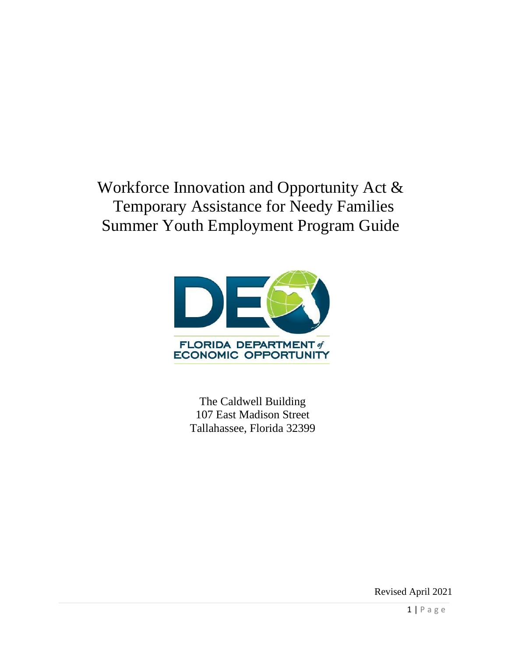# Workforce Innovation and Opportunity Act & Temporary Assistance for Needy Families Summer Youth Employment Program Guide



The Caldwell Building 107 East Madison Street Tallahassee, Florida 32399

Revised April 2021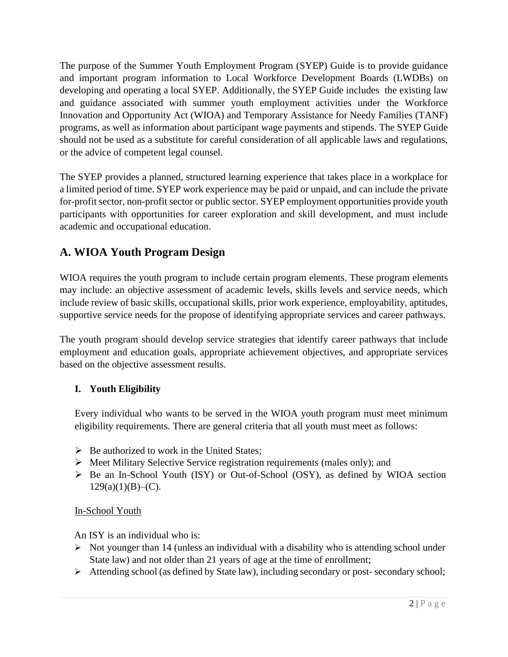The purpose of the Summer Youth Employment Program (SYEP) Guide is to provide guidance and important program information to Local Workforce Development Boards (LWDBs) on developing and operating a local SYEP. Additionally, the SYEP Guide includes the existing law and guidance associated with summer youth employment activities under the Workforce Innovation and Opportunity Act (WIOA) and Temporary Assistance for Needy Families (TANF) programs, as well as information about participant wage payments and stipends. The SYEP Guide should not be used as a substitute for careful consideration of all applicable laws and regulations, or the advice of competent legal counsel.

The SYEP provides a planned, structured learning experience that takes place in a workplace for a limited period of time. SYEP work experience may be paid or unpaid, and can include the private for-profit sector, non-profit sector or public sector. SYEP employment opportunities provide youth participants with opportunities for career exploration and skill development, and must include academic and occupational education.

# **A. WIOA Youth Program Design**

WIOA requires the youth program to include certain program elements. These program elements may include: an objective assessment of academic levels, skills levels and service needs, which include review of basic skills, occupational skills, prior work experience, employability, aptitudes, supportive service needs for the propose of identifying appropriate services and career pathways.

The youth program should develop service strategies that identify career pathways that include employment and education goals, appropriate achievement objectives, and appropriate services based on the objective assessment results.

# **I. Youth Eligibility**

Every individual who wants to be served in the WIOA youth program must meet minimum eligibility requirements. There are general criteria that all youth must meet as follows:

- $\triangleright$  Be authorized to work in the United States;
- ➢ Meet Military Selective Service registration requirements (males only); and
- ➢ Be an In-School Youth (ISY) or Out-of-School (OSY), as defined by WIOA section  $129(a)(1)(B)$ –(C).

# In-School Youth

An ISY is an individual who is:

- ➢ Not younger than 14 (unless an individual with a disability who is attending school under State law) and not older than 21 years of age at the time of enrollment;
- ➢ Attending school (as defined by State law), including secondary or post- secondary school;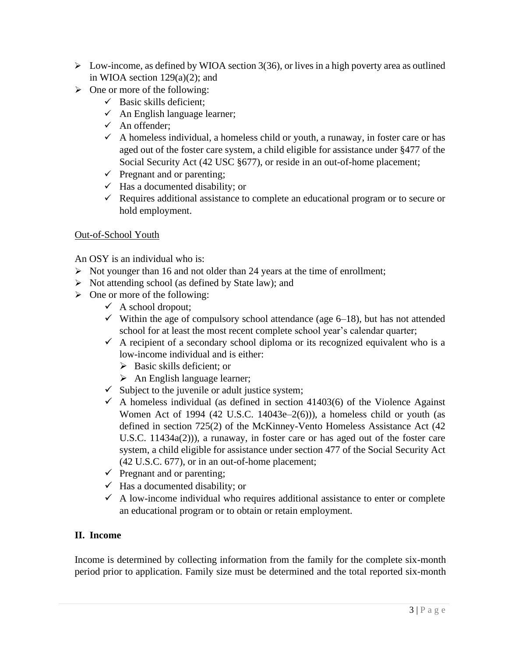- $\triangleright$  Low-income, as defined by WIOA section 3(36), or lives in a high poverty area as outlined in WIOA section  $129(a)(2)$ ; and
- $\triangleright$  One or more of the following:
	- $\checkmark$  Basic skills deficient:
	- $\checkmark$  An English language learner;
	- $\checkmark$  An offender:
	- $\checkmark$  A homeless individual, a homeless child or youth, a runaway, in foster care or has aged out of the foster care system, a child eligible for assistance under §477 of the Social Security Act (42 USC §677), or reside in an out-of-home placement;
	- $\checkmark$  Pregnant and or parenting;
	- $\checkmark$  Has a documented disability; or
	- $\checkmark$  Requires additional assistance to complete an educational program or to secure or hold employment.

#### Out-of-School Youth

An OSY is an individual who is:

- ➢ Not younger than 16 and not older than 24 years at the time of enrollment;
- ➢ Not attending school (as defined by State law); and
- $\triangleright$  One or more of the following:
	- $\checkmark$  A school dropout;
	- $\checkmark$  Within the age of compulsory school attendance (age 6–18), but has not attended school for at least the most recent complete school year's calendar quarter;
	- $\checkmark$  A recipient of a secondary school diploma or its recognized equivalent who is a low-income individual and is either:
		- ➢ Basic skills deficient; or
		- $\triangleright$  An English language learner;
	- $\checkmark$  Subject to the juvenile or adult justice system;
	- $\checkmark$  A homeless individual (as defined in section 41403(6) of the Violence Against Women Act of 1994 (42 U.S.C. 14043e– $2(6)$ )), a homeless child or youth (as defined in section 725(2) of the McKinney-Vento Homeless Assistance Act (42 U.S.C. 11434a(2))), a runaway, in foster care or has aged out of the foster care system, a child eligible for assistance under section 477 of the Social Security Act (42 U.S.C. 677), or in an out-of-home placement;
	- $\checkmark$  Pregnant and or parenting;
	- $\checkmark$  Has a documented disability; or
	- $\checkmark$  A low-income individual who requires additional assistance to enter or complete an educational program or to obtain or retain employment.

## **II. Income**

Income is determined by collecting information from the family for the complete six-month period prior to application. Family size must be determined and the total reported six-month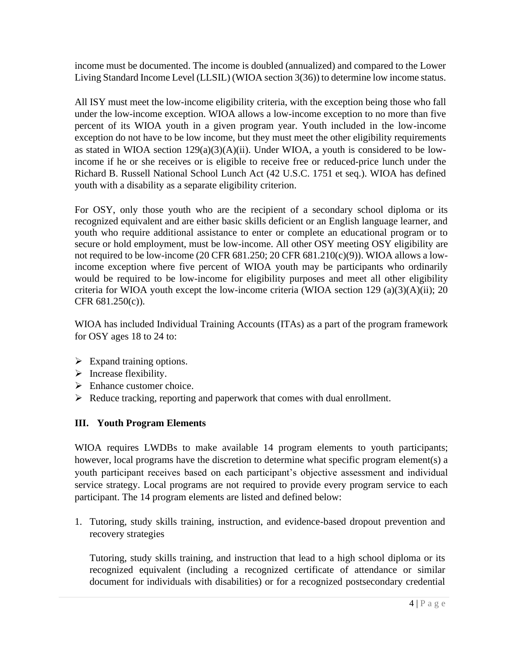income must be documented. The income is doubled (annualized) and compared to the Lower Living Standard Income Level (LLSIL) (WIOA section 3(36)) to determine low income status.

All ISY must meet the low-income eligibility criteria, with the exception being those who fall under the low-income exception. WIOA allows a low-income exception to no more than five percent of its WIOA youth in a given program year. Youth included in the low-income exception do not have to be low income, but they must meet the other eligibility requirements as stated in WIOA section  $129(a)(3)(A)(ii)$ . Under WIOA, a youth is considered to be lowincome if he or she receives or is eligible to receive free or reduced-price lunch under the Richard B. Russell National School Lunch Act (42 U.S.C. 1751 et seq.). WIOA has defined youth with a disability as a separate eligibility criterion.

For OSY, only those youth who are the recipient of a secondary school diploma or its recognized equivalent and are either basic skills deficient or an English language learner, and youth who require additional assistance to enter or complete an educational program or to secure or hold employment, must be low-income. All other OSY meeting OSY eligibility are not required to be low-income (20 CFR 681.250; 20 CFR 681.210(c)(9)). WIOA allows a lowincome exception where five percent of WIOA youth may be participants who ordinarily would be required to be low-income for eligibility purposes and meet all other eligibility criteria for WIOA youth except the low-income criteria (WIOA section 129 (a)(3)(A)(ii); 20 CFR 681.250(c)).

WIOA has included Individual Training Accounts (ITAs) as a part of the program framework for OSY ages 18 to 24 to:

- $\triangleright$  Expand training options.
- $\triangleright$  Increase flexibility.
- $\triangleright$  Enhance customer choice.
- $\triangleright$  Reduce tracking, reporting and paperwork that comes with dual enrollment.

# **III. Youth Program Elements**

WIOA requires LWDBs to make available 14 program elements to youth participants; however, local programs have the discretion to determine what specific program element(s) a youth participant receives based on each participant's objective assessment and individual service strategy. Local programs are not required to provide every program service to each participant. The 14 program elements are listed and defined below:

1. Tutoring, study skills training, instruction, and evidence-based dropout prevention and recovery strategies

Tutoring, study skills training, and instruction that lead to a high school diploma or its recognized equivalent (including a recognized certificate of attendance or similar document for individuals with disabilities) or for a recognized postsecondary credential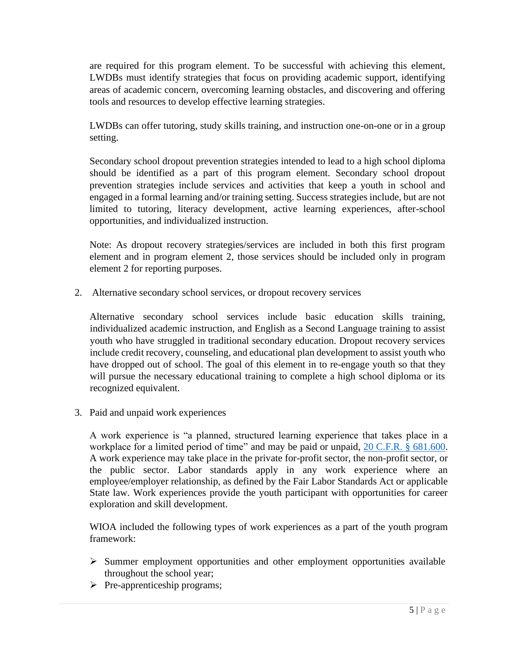are required for this program element. To be successful with achieving this element, LWDBs must identify strategies that focus on providing academic support, identifying areas of academic concern, overcoming learning obstacles, and discovering and offering tools and resources to develop effective learning strategies.

LWDBs can offer tutoring, study skills training, and instruction one-on-one or in a group setting.

Secondary school dropout prevention strategies intended to lead to a high school diploma should be identified as a part of this program element. Secondary school dropout prevention strategies include services and activities that keep a youth in school and engaged in a formal learning and/or training setting. Success strategies include, but are not limited to tutoring, literacy development, active learning experiences, after-school opportunities, and individualized instruction.

Note: As dropout recovery strategies/services are included in both this first program element and in program element 2, those services should be included only in program element 2 for reporting purposes.

2. Alternative secondary school services, or dropout recovery services

Alternative secondary school services include basic education skills training, individualized academic instruction, and English as a Second Language training to assist youth who have struggled in traditional secondary education. Dropout recovery services include credit recovery, counseling, and educational plan development to assist youth who have dropped out of school. The goal of this element in to re-engage youth so that they will pursue the necessary educational training to complete a high school diploma or its recognized equivalent.

3. Paid and unpaid work experiences

A work experience is "a planned, structured learning experience that takes place in a workplace for a limited period of time" and may be paid or unpaid, [20 C.F.R. § 681.600.](https://www.ecfr.gov/cgi-bin/text-idx?SID=4f1dbc0a02dab910d1272052662e06cd&mc=true&node=pt20.4.681&rgn=div5#se20.4.681_1600) A work experience may take place in the private for-profit sector, the non-profit sector, or the public sector. Labor standards apply in any work experience where an employee/employer relationship, as defined by the Fair Labor Standards Act or applicable State law. Work experiences provide the youth participant with opportunities for career exploration and skill development.

WIOA included the following types of work experiences as a part of the youth program framework:

- ➢ Summer employment opportunities and other employment opportunities available throughout the school year;
- ➢ Pre-apprenticeship programs;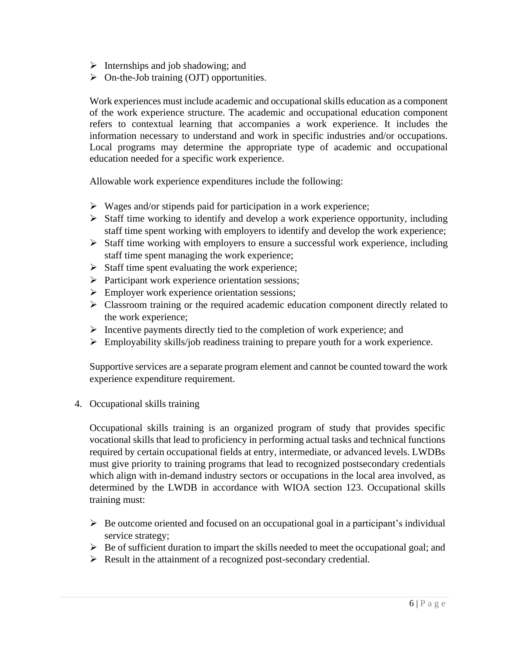- $\triangleright$  Internships and job shadowing; and
- $\triangleright$  On-the-Job training (OJT) opportunities.

Work experiences must include academic and occupational skills education as a component of the work experience structure. The academic and occupational education component refers to contextual learning that accompanies a work experience. It includes the information necessary to understand and work in specific industries and/or occupations. Local programs may determine the appropriate type of academic and occupational education needed for a specific work experience.

Allowable work experience expenditures include the following:

- $\triangleright$  Wages and/or stipends paid for participation in a work experience;
- ➢ Staff time working to identify and develop a work experience opportunity, including staff time spent working with employers to identify and develop the work experience;
- ➢ Staff time working with employers to ensure a successful work experience, including staff time spent managing the work experience;
- $\triangleright$  Staff time spent evaluating the work experience;
- ➢ Participant work experience orientation sessions;
- $\triangleright$  Employer work experience orientation sessions;
- ➢ Classroom training or the required academic education component directly related to the work experience;
- ➢ Incentive payments directly tied to the completion of work experience; and
- ➢ Employability skills/job readiness training to prepare youth for a work experience.

Supportive services are a separate program element and cannot be counted toward the work experience expenditure requirement.

4. Occupational skills training

Occupational skills training is an organized program of study that provides specific vocational skills that lead to proficiency in performing actual tasks and technical functions required by certain occupational fields at entry, intermediate, or advanced levels. LWDBs must give priority to training programs that lead to recognized postsecondary credentials which align with in-demand industry sectors or occupations in the local area involved, as determined by the LWDB in accordance with WIOA section 123. Occupational skills training must:

- $\triangleright$  Be outcome oriented and focused on an occupational goal in a participant's individual service strategy;
- ➢ Be of sufficient duration to impart the skills needed to meet the occupational goal; and
- ➢ Result in the attainment of a recognized post-secondary credential.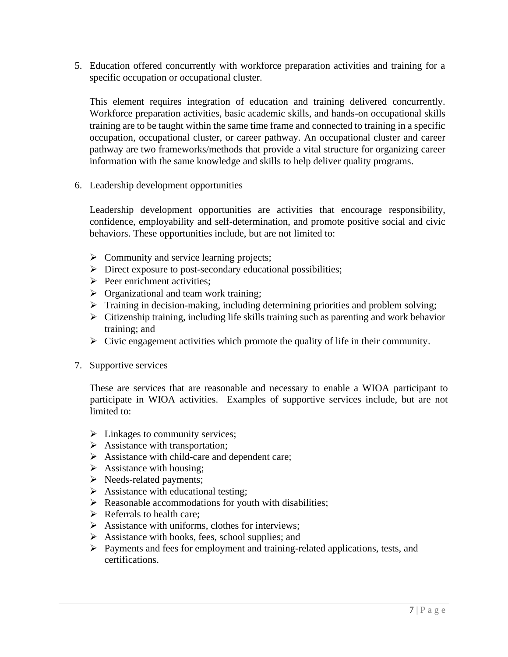5. Education offered concurrently with workforce preparation activities and training for a specific occupation or occupational cluster.

This element requires integration of education and training delivered concurrently. Workforce preparation activities, basic academic skills, and hands-on occupational skills training are to be taught within the same time frame and connected to training in a specific occupation, occupational cluster, or career pathway. An occupational cluster and career pathway are two frameworks/methods that provide a vital structure for organizing career information with the same knowledge and skills to help deliver quality programs.

6. Leadership development opportunities

Leadership development opportunities are activities that encourage responsibility, confidence, employability and self-determination, and promote positive social and civic behaviors. These opportunities include, but are not limited to:

- $\triangleright$  Community and service learning projects;
- ➢ Direct exposure to post-secondary educational possibilities;
- ➢ Peer enrichment activities;
- $\triangleright$  Organizational and team work training;
- ➢ Training in decision-making, including determining priorities and problem solving;
- ➢ Citizenship training, including life skills training such as parenting and work behavior training; and
- $\triangleright$  Civic engagement activities which promote the quality of life in their community.
- 7. Supportive services

These are services that are reasonable and necessary to enable a WIOA participant to participate in WIOA activities. Examples of supportive services include, but are not limited to:

- $\triangleright$  Linkages to community services;
- $\triangleright$  Assistance with transportation;
- ➢ Assistance with child-care and dependent care;
- $\triangleright$  Assistance with housing;
- ➢ Needs-related payments;
- $\triangleright$  Assistance with educational testing;
- ➢ Reasonable accommodations for youth with disabilities;
- $\triangleright$  Referrals to health care;
- ➢ Assistance with uniforms, clothes for interviews;
- ➢ Assistance with books, fees, school supplies; and
- ➢ Payments and fees for employment and training-related applications, tests, and certifications.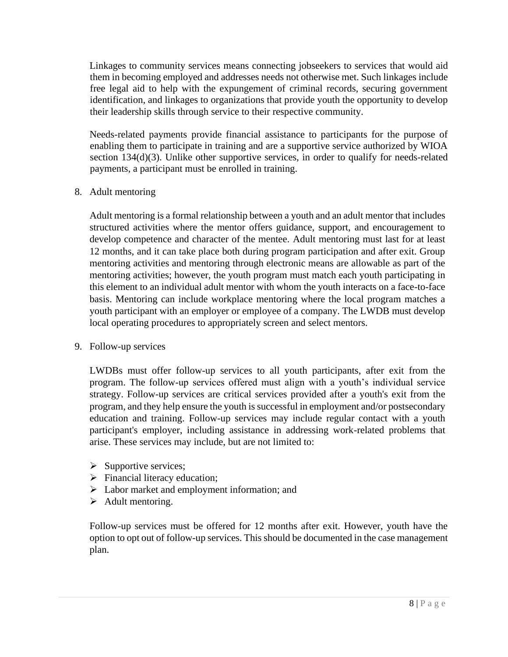Linkages to community services means connecting jobseekers to services that would aid them in becoming employed and addresses needs not otherwise met. Such linkages include free legal aid to help with the expungement of criminal records, securing government identification, and linkages to organizations that provide youth the opportunity to develop their leadership skills through service to their respective community.

Needs-related payments provide financial assistance to participants for the purpose of enabling them to participate in training and are a supportive service authorized by WIOA section 134(d)(3). Unlike other supportive services, in order to qualify for needs-related payments, a participant must be enrolled in training.

8. Adult mentoring

Adult mentoring is a formal relationship between a youth and an adult mentor that includes structured activities where the mentor offers guidance, support, and encouragement to develop competence and character of the mentee. Adult mentoring must last for at least 12 months, and it can take place both during program participation and after exit. Group mentoring activities and mentoring through electronic means are allowable as part of the mentoring activities; however, the youth program must match each youth participating in this element to an individual adult mentor with whom the youth interacts on a face-to-face basis. Mentoring can include workplace mentoring where the local program matches a youth participant with an employer or employee of a company. The LWDB must develop local operating procedures to appropriately screen and select mentors.

9. Follow-up services

LWDBs must offer follow-up services to all youth participants, after exit from the program. The follow-up services offered must align with a youth's individual service strategy. Follow-up services are critical services provided after a youth's exit from the program, and they help ensure the youth is successful in employment and/or postsecondary education and training. Follow-up services may include regular contact with a youth participant's employer, including assistance in addressing work-related problems that arise. These services may include, but are not limited to:

- $\triangleright$  Supportive services;
- ➢ Financial literacy education;
- ➢ Labor market and employment information; and
- ➢ Adult mentoring.

Follow-up services must be offered for 12 months after exit. However, youth have the option to opt out of follow-up services. This should be documented in the case management plan.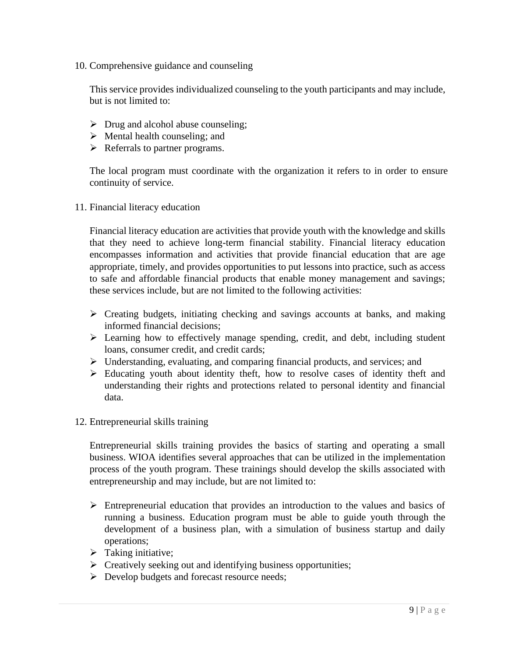10. Comprehensive guidance and counseling

This service provides individualized counseling to the youth participants and may include, but is not limited to:

- $\triangleright$  Drug and alcohol abuse counseling;
- $\triangleright$  Mental health counseling; and
- ➢ Referrals to partner programs.

The local program must coordinate with the organization it refers to in order to ensure continuity of service.

11. Financial literacy education

Financial literacy education are activities that provide youth with the knowledge and skills that they need to achieve long-term financial stability. Financial literacy education encompasses information and activities that provide financial education that are age appropriate, timely, and provides opportunities to put lessons into practice, such as access to safe and affordable financial products that enable money management and savings; these services include, but are not limited to the following activities:

- ➢ Creating budgets, initiating checking and savings accounts at banks, and making informed financial decisions;
- ➢ Learning how to effectively manage spending, credit, and debt, including student loans, consumer credit, and credit cards;
- ➢ Understanding, evaluating, and comparing financial products, and services; and
- ➢ Educating youth about identity theft, how to resolve cases of identity theft and understanding their rights and protections related to personal identity and financial data.
- 12. Entrepreneurial skills training

Entrepreneurial skills training provides the basics of starting and operating a small business. WIOA identifies several approaches that can be utilized in the implementation process of the youth program. These trainings should develop the skills associated with entrepreneurship and may include, but are not limited to:

- ➢ Entrepreneurial education that provides an introduction to the values and basics of running a business. Education program must be able to guide youth through the development of a business plan, with a simulation of business startup and daily operations;
- $\triangleright$  Taking initiative;
- ➢ Creatively seeking out and identifying business opportunities;
- ➢ Develop budgets and forecast resource needs;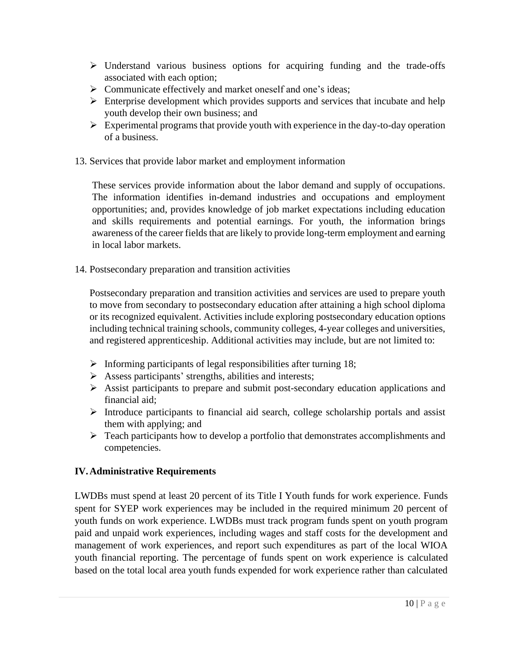- $\triangleright$  Understand various business options for acquiring funding and the trade-offs associated with each option;
- ➢ Communicate effectively and market oneself and one's ideas;
- ➢ Enterprise development which provides supports and services that incubate and help youth develop their own business; and
- $\triangleright$  Experimental programs that provide youth with experience in the day-to-day operation of a business.
- 13. Services that provide labor market and employment information

These services provide information about the labor demand and supply of occupations. The information identifies in-demand industries and occupations and employment opportunities; and, provides knowledge of job market expectations including education and skills requirements and potential earnings. For youth, the information brings awareness of the career fields that are likely to provide long-term employment and earning in local labor markets.

14. Postsecondary preparation and transition activities

Postsecondary preparation and transition activities and services are used to prepare youth to move from secondary to postsecondary education after attaining a high school diploma or its recognized equivalent. Activities include exploring postsecondary education options including technical training schools, community colleges, 4-year colleges and universities, and registered apprenticeship. Additional activities may include, but are not limited to:

- $\triangleright$  Informing participants of legal responsibilities after turning 18;
- $\triangleright$  Assess participants' strengths, abilities and interests;
- ➢ Assist participants to prepare and submit post-secondary education applications and financial aid;
- $\triangleright$  Introduce participants to financial aid search, college scholarship portals and assist them with applying; and
- ➢ Teach participants how to develop a portfolio that demonstrates accomplishments and competencies.

## **IV.Administrative Requirements**

LWDBs must spend at least 20 percent of its Title I Youth funds for work experience. Funds spent for SYEP work experiences may be included in the required minimum 20 percent of youth funds on work experience. LWDBs must track program funds spent on youth program paid and unpaid work experiences, including wages and staff costs for the development and management of work experiences, and report such expenditures as part of the local WIOA youth financial reporting. The percentage of funds spent on work experience is calculated based on the total local area youth funds expended for work experience rather than calculated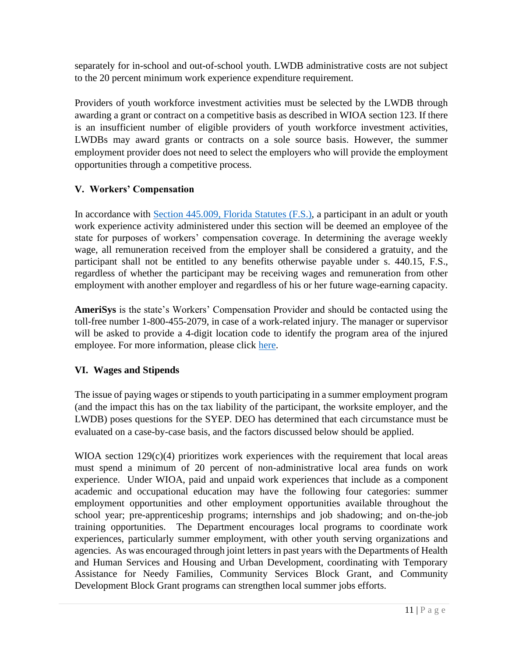separately for in-school and out-of-school youth. LWDB administrative costs are not subject to the 20 percent minimum work experience expenditure requirement.

Providers of youth workforce investment activities must be selected by the LWDB through awarding a grant or contract on a competitive basis as described in WIOA section 123. If there is an insufficient number of eligible providers of youth workforce investment activities, LWDBs may award grants or contracts on a sole source basis. However, the summer employment provider does not need to select the employers who will provide the employment opportunities through a competitive process.

# **V. Workers' Compensation**

In accordance with [Section 445.009, Florida Statutes \(F.S.\),](http://www.leg.state.fl.us/statutes/index.cfm?mode=View%20Statutes&SubMenu=1&App_mode=Display_Statute&Search_String=445.009&URL=0400-0499/0445/Sections/0445.009.html) a participant in an adult or youth work experience activity administered under this section will be deemed an employee of the state for purposes of workers' compensation coverage. In determining the average weekly wage, all remuneration received from the employer shall be considered a gratuity, and the participant shall not be entitled to any benefits otherwise payable under s. 440.15, F.S., regardless of whether the participant may be receiving wages and remuneration from other employment with another employer and regardless of his or her future wage-earning capacity*.*

**AmeriSys** is the state's Workers' Compensation Provider and should be contacted using the toll-free number 1-800-455-2079, in case of a work-related injury. The manager or supervisor will be asked to provide a 4-digit location code to identify the program area of the injured employee. For more information, please click [here.](https://www.amerisys-info.com/)

# **VI. Wages and Stipends**

The issue of paying wages or stipends to youth participating in a summer employment program (and the impact this has on the tax liability of the participant, the worksite employer, and the LWDB) poses questions for the SYEP. DEO has determined that each circumstance must be evaluated on a case-by-case basis, and the factors discussed below should be applied.

WIOA section 129(c)(4) prioritizes work experiences with the requirement that local areas must spend a minimum of 20 percent of non-administrative local area funds on work experience. Under WIOA, paid and unpaid work experiences that include as a component academic and occupational education may have the following four categories: summer employment opportunities and other employment opportunities available throughout the school year; pre-apprenticeship programs; internships and job shadowing; and on-the-job training opportunities. The Department encourages local programs to coordinate work experiences, particularly summer employment, with other youth serving organizations and agencies. As was encouraged through joint letters in past years with the Departments of Health and Human Services and Housing and Urban Development, coordinating with Temporary Assistance for Needy Families, Community Services Block Grant, and Community Development Block Grant programs can strengthen local summer jobs efforts.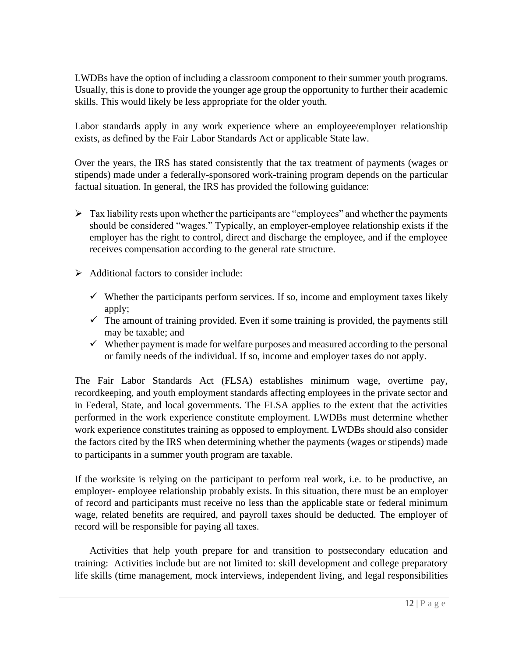LWDBs have the option of including a classroom component to their summer youth programs. Usually, this is done to provide the younger age group the opportunity to further their academic skills. This would likely be less appropriate for the older youth.

Labor standards apply in any work experience where an employee/employer relationship exists, as defined by the Fair Labor Standards Act or applicable State law.

Over the years, the IRS has stated consistently that the tax treatment of payments (wages or stipends) made under a federally-sponsored work-training program depends on the particular factual situation. In general, the IRS has provided the following guidance:

- $\triangleright$  Tax liability rests upon whether the participants are "employees" and whether the payments should be considered "wages." Typically, an employer-employee relationship exists if the employer has the right to control, direct and discharge the employee, and if the employee receives compensation according to the general rate structure.
- ➢ Additional factors to consider include:
	- $\checkmark$  Whether the participants perform services. If so, income and employment taxes likely apply;
	- $\checkmark$  The amount of training provided. Even if some training is provided, the payments still may be taxable; and
	- $\checkmark$  Whether payment is made for welfare purposes and measured according to the personal or family needs of the individual. If so, income and employer taxes do not apply.

The Fair Labor Standards Act (FLSA) establishes minimum wage, overtime pay, recordkeeping, and youth employment standards affecting employees in the private sector and in Federal, State, and local governments. The FLSA applies to the extent that the activities performed in the work experience constitute employment. LWDBs must determine whether work experience constitutes training as opposed to employment. LWDBs should also consider the factors cited by the IRS when determining whether the payments (wages or stipends) made to participants in a summer youth program are taxable.

If the worksite is relying on the participant to perform real work, i.e. to be productive, an employer- employee relationship probably exists. In this situation, there must be an employer of record and participants must receive no less than the applicable state or federal minimum wage, related benefits are required, and payroll taxes should be deducted. The employer of record will be responsible for paying all taxes.

Activities that help youth prepare for and transition to postsecondary education and training: Activities include but are not limited to: skill development and college preparatory life skills (time management, mock interviews, independent living, and legal responsibilities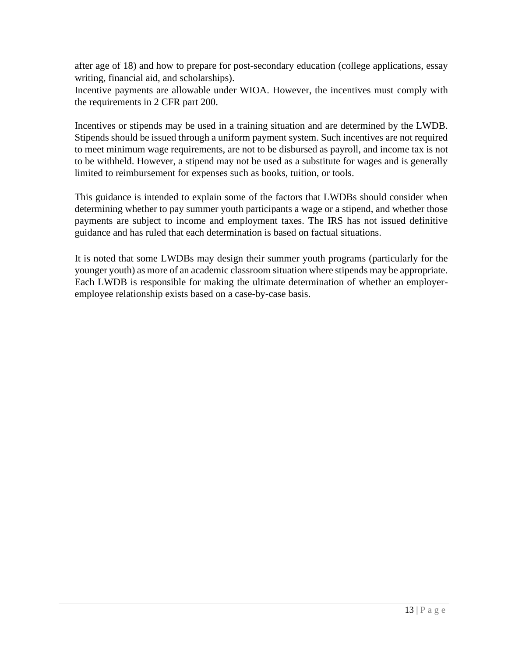after age of 18) and how to prepare for post-secondary education (college applications, essay writing, financial aid, and scholarships).

Incentive payments are allowable under WIOA. However, the incentives must comply with the requirements in 2 CFR part 200.

Incentives or stipends may be used in a training situation and are determined by the LWDB. Stipends should be issued through a uniform payment system. Such incentives are not required to meet minimum wage requirements, are not to be disbursed as payroll, and income tax is not to be withheld. However, a stipend may not be used as a substitute for wages and is generally limited to reimbursement for expenses such as books, tuition, or tools.

This guidance is intended to explain some of the factors that LWDBs should consider when determining whether to pay summer youth participants a wage or a stipend, and whether those payments are subject to income and employment taxes. The IRS has not issued definitive guidance and has ruled that each determination is based on factual situations.

It is noted that some LWDBs may design their summer youth programs (particularly for the younger youth) as more of an academic classroom situation where stipends may be appropriate. Each LWDB is responsible for making the ultimate determination of whether an employeremployee relationship exists based on a case-by-case basis.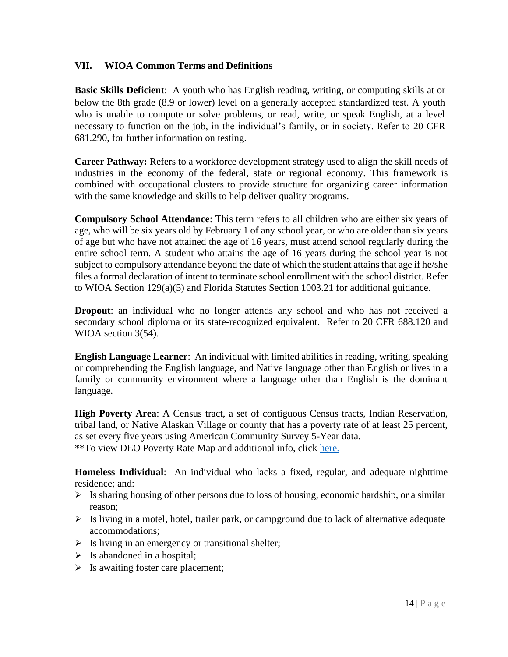## **VII. WIOA Common Terms and Definitions**

**Basic Skills Deficient**: A youth who has English reading, writing, or computing skills at or below the 8th grade (8.9 or lower) level on a generally accepted standardized test. A youth who is unable to compute or solve problems, or read, write, or speak English, at a level necessary to function on the job, in the individual's family, or in society. Refer to 20 CFR 681.290, for further information on testing.

**Career Pathway:** Refers to a workforce development strategy used to align the skill needs of industries in the economy of the federal, state or regional economy. This framework is combined with occupational clusters to provide structure for organizing career information with the same knowledge and skills to help deliver quality programs.

**Compulsory School Attendance**: This term refers to all children who are either six years of age, who will be six years old by February 1 of any school year, or who are older than six years of age but who have not attained the age of 16 years, must attend school regularly during the entire school term. A student who attains the age of 16 years during the school year is not subject to compulsory attendance beyond the date of which the student attains that age if he/she files a formal declaration of intent to terminate school enrollment with the school district. Refer to WIOA Section 129(a)(5) and Florida Statutes Section 1003.21 for additional guidance.

**Dropout**: an individual who no longer attends any school and who has not received a secondary school diploma or its state-recognized equivalent. Refer to 20 CFR 688.120 and WIOA section 3(54).

**English Language Learner**: An individual with limited abilities in reading, writing, speaking or comprehending the English language, and Native language other than English or lives in a family or community environment where a language other than English is the dominant language.

**High Poverty Area**: A Census tract, a set of contiguous Census tracts, Indian Reservation, tribal land, or Native Alaskan Village or county that has a poverty rate of at least 25 percent, as set every five years using American Community Survey 5-Year data. \*\*To view DEO Poverty Rate Map and additional info, click [here](http://www.floridajobs.org/labor-market-information/products-and-services/gis-resources).

**Homeless Individual**: An individual who lacks a fixed, regular, and adequate nighttime residence; and:

- $\triangleright$  Is sharing housing of other persons due to loss of housing, economic hardship, or a similar reason;
- $\triangleright$  Is living in a motel, hotel, trailer park, or campground due to lack of alternative adequate accommodations;
- $\triangleright$  Is living in an emergency or transitional shelter;
- $\triangleright$  Is abandoned in a hospital;
- $\triangleright$  Is awaiting foster care placement;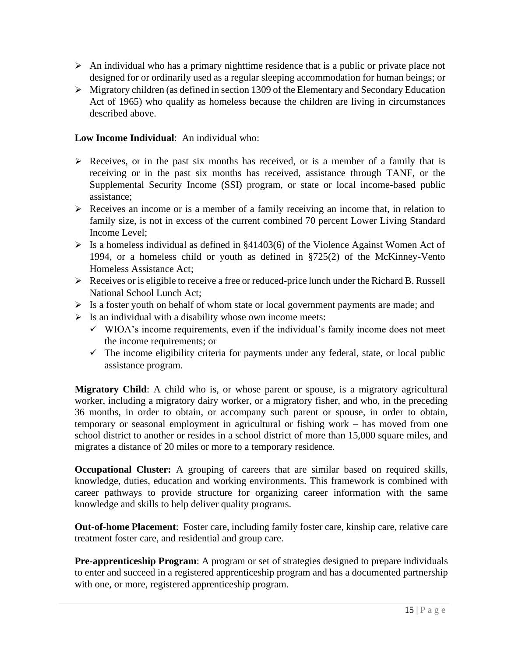- ➢ An individual who has a primary nighttime residence that is a public or private place not designed for or ordinarily used as a regular sleeping accommodation for human beings; or
- ➢ Migratory children (as defined in section 1309 of the Elementary and Secondary Education Act of 1965) who qualify as homeless because the children are living in circumstances described above.

## **Low Income Individual**: An individual who:

- ➢ Receives, or in the past six months has received, or is a member of a family that is receiving or in the past six months has received, assistance through TANF, or the Supplemental Security Income (SSI) program, or state or local income-based public assistance;
- ➢ Receives an income or is a member of a family receiving an income that, in relation to family size, is not in excess of the current combined 70 percent Lower Living Standard Income Level;
- $\triangleright$  Is a homeless individual as defined in §41403(6) of the Violence Against Women Act of 1994, or a homeless child or youth as defined in §725(2) of the McKinney-Vento Homeless Assistance Act;
- ➢ Receives or is eligible to receive a free or reduced-price lunch under the Richard B. Russell National School Lunch Act;
- ➢ Is a foster youth on behalf of whom state or local government payments are made; and
- $\triangleright$  Is an individual with a disability whose own income meets:
	- $\checkmark$  WIOA's income requirements, even if the individual's family income does not meet the income requirements; or
	- $\checkmark$  The income eligibility criteria for payments under any federal, state, or local public assistance program.

**Migratory Child**: A child who is, or whose parent or spouse, is a migratory agricultural worker, including a migratory dairy worker, or a migratory fisher, and who, in the preceding 36 months, in order to obtain, or accompany such parent or spouse, in order to obtain, temporary or seasonal employment in agricultural or fishing work – has moved from one school district to another or resides in a school district of more than 15,000 square miles, and migrates a distance of 20 miles or more to a temporary residence.

**Occupational Cluster:** A grouping of careers that are similar based on required skills, knowledge, duties, education and working environments. This framework is combined with career pathways to provide structure for organizing career information with the same knowledge and skills to help deliver quality programs.

**Out-of-home Placement**: Foster care, including family foster care, kinship care, relative care treatment foster care, and residential and group care.

**Pre-apprenticeship Program**: A program or set of strategies designed to prepare individuals to enter and succeed in a registered apprenticeship program and has a documented partnership with one, or more, registered apprenticeship program.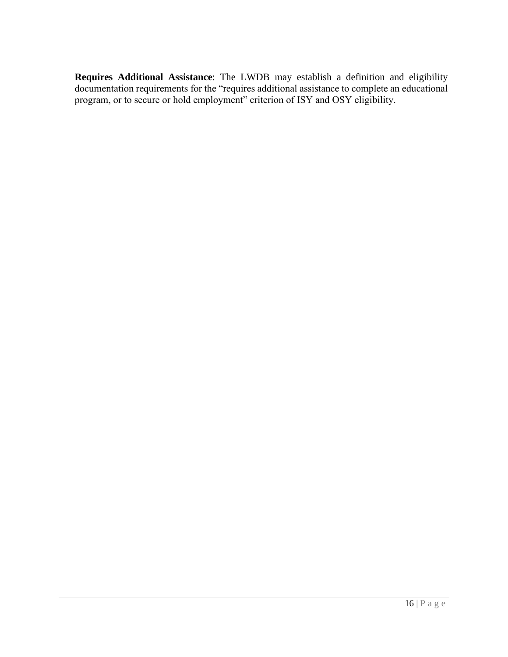**Requires Additional Assistance**: The LWDB may establish a definition and eligibility documentation requirements for the "requires additional assistance to complete an educational program, or to secure or hold employment" criterion of ISY and OSY eligibility.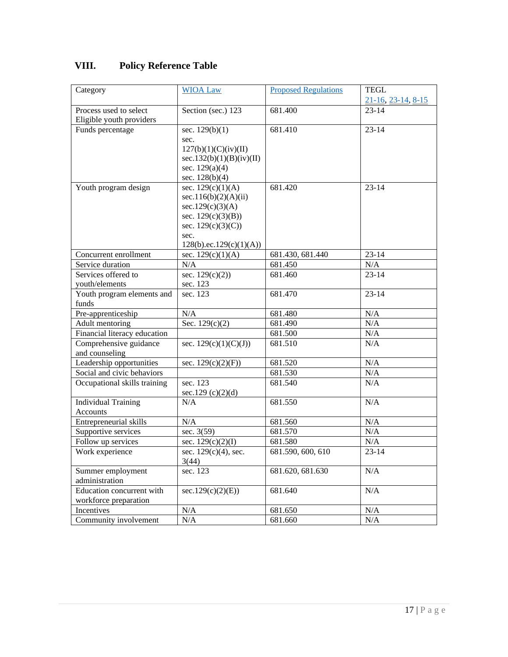# **VIII. Policy Reference Table**

| Category                     | <b>WIOA Law</b>                  | <b>Proposed Regulations</b> | <b>TEGL</b>        |
|------------------------------|----------------------------------|-----------------------------|--------------------|
|                              |                                  |                             | 21-16, 23-14, 8-15 |
| Process used to select       | Section (sec.) 123               | 681.400                     | $23 - 14$          |
| Eligible youth providers     |                                  |                             |                    |
| Funds percentage             | sec. $129(b)(1)$                 | 681.410                     | $23 - 14$          |
|                              | sec.                             |                             |                    |
|                              | 127(b)(1)(C)(iv)(II)             |                             |                    |
|                              | sec.132(b)(1)(B)(iv)(II)         |                             |                    |
|                              | sec. $129(a)(4)$                 |                             |                    |
|                              | sec. $128(b)(4)$                 |                             |                    |
| Youth program design         | sec. $129(c)(1)(A)$              | 681.420                     | $23 - 14$          |
|                              | sec.116(b)(2)(A)(ii)             |                             |                    |
|                              | sec.129(c)(3)(A)                 |                             |                    |
|                              | sec. $129(c)(3)(B)$              |                             |                    |
|                              | sec. 129(c)(3)(C))<br>sec.       |                             |                    |
|                              | 128(b).ec.129(c)(1)(A))          |                             |                    |
| Concurrent enrollment        | sec. $129(c)(1)(A)$              | 681.430, 681.440            | $23 - 14$          |
| Service duration             | N/A                              | 681.450                     | N/A                |
| Services offered to          | sec. $129(c)(2)$                 | 681.460                     | $23 - 14$          |
| youth/elements               | sec. 123                         |                             |                    |
| Youth program elements and   | sec. 123                         | 681.470                     | $23 - 14$          |
| funds                        |                                  |                             |                    |
| Pre-apprenticeship           | N/A                              | 681.480                     | N/A                |
| Adult mentoring              | Sec. $129(c)(2)$                 | 681.490                     | N/A                |
| Financial literacy education |                                  | 681.500                     | N/A                |
| Comprehensive guidance       | sec. $129(c)(1)(C)(J))$          | 681.510                     | N/A                |
| and counseling               |                                  |                             |                    |
| Leadership opportunities     | sec. $129(c)(2)(F)$              | 681.520                     | N/A                |
| Social and civic behaviors   |                                  | 681.530                     | N/A                |
| Occupational skills training | sec. 123                         | 681.540                     | N/A                |
|                              | sec.129 $(c)(2)(d)$              |                             |                    |
| <b>Individual Training</b>   | N/A                              | 681.550                     | N/A                |
| Accounts                     |                                  |                             |                    |
| Entrepreneurial skills       | N/A                              | 681.560                     | N/A                |
| Supportive services          | sec. $3(59)$                     | 681.570                     | N/A                |
| Follow up services           | sec. $129(c)(2)(I)$              | 681.580                     | N/A                |
| Work experience              | sec. $129(c)(4)$ , sec.<br>3(44) | 681.590, 600, 610           | $23 - 14$          |
| Summer employment            | sec. 123                         | 681.620, 681.630            | N/A                |
| administration               |                                  |                             |                    |
| Education concurrent with    | sec.129(c)(2)(E))                | 681.640                     | N/A                |
| workforce preparation        |                                  |                             |                    |
| Incentives                   | N/A                              | 681.650                     | N/A                |
| Community involvement        | N/A                              | 681.660                     | N/A                |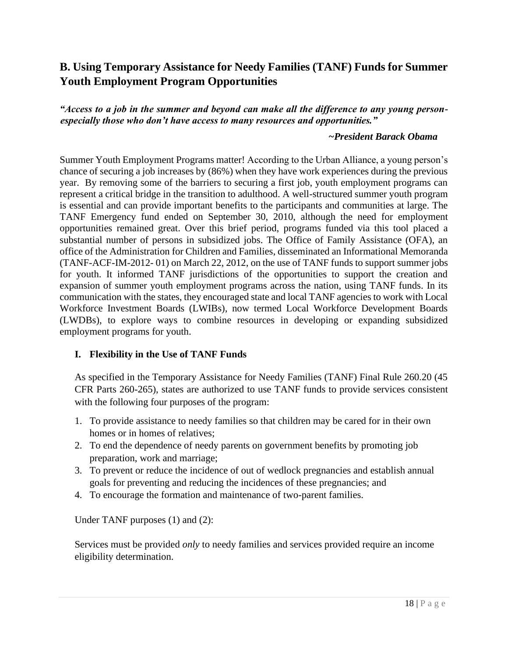# **B. Using Temporary Assistance for Needy Families (TANF) Funds for Summer Youth Employment Program Opportunities**

*"Access to a job in the summer and beyond can make all the difference to any young personespecially those who don't have access to many resources and opportunities."* 

#### *~President Barack Obama*

Summer Youth Employment Programs matter! According to the Urban Alliance, a young person's chance of securing a job increases by (86%) when they have work experiences during the previous year. By removing some of the barriers to securing a first job, youth employment programs can represent a critical bridge in the transition to adulthood. A well-structured summer youth program is essential and can provide important benefits to the participants and communities at large. The TANF Emergency fund ended on September 30, 2010, although the need for employment opportunities remained great. Over this brief period, programs funded via this tool placed a substantial number of persons in subsidized jobs. The Office of Family Assistance (OFA), an office of the Administration for Children and Families, disseminated an Informational Memoranda (TANF-ACF-IM-2012- 01) on March 22, 2012, on the use of TANF funds to support summer jobs for youth. It informed TANF jurisdictions of the opportunities to support the creation and expansion of summer youth employment programs across the nation, using TANF funds. In its communication with the states, they encouraged state and local TANF agencies to work with Local Workforce Investment Boards (LWIBs), now termed Local Workforce Development Boards (LWDBs), to explore ways to combine resources in developing or expanding subsidized employment programs for youth.

## **I. Flexibility in the Use of TANF Funds**

As specified in the Temporary Assistance for Needy Families (TANF) Final Rule 260.20 (45 CFR Parts 260-265), states are authorized to use TANF funds to provide services consistent with the following four purposes of the program:

- 1. To provide assistance to needy families so that children may be cared for in their own homes or in homes of relatives;
- 2. To end the dependence of needy parents on government benefits by promoting job preparation, work and marriage;
- 3. To prevent or reduce the incidence of out of wedlock pregnancies and establish annual goals for preventing and reducing the incidences of these pregnancies; and
- 4. To encourage the formation and maintenance of two-parent families.

Under TANF purposes (1) and (2):

Services must be provided *only* to needy families and services provided require an income eligibility determination.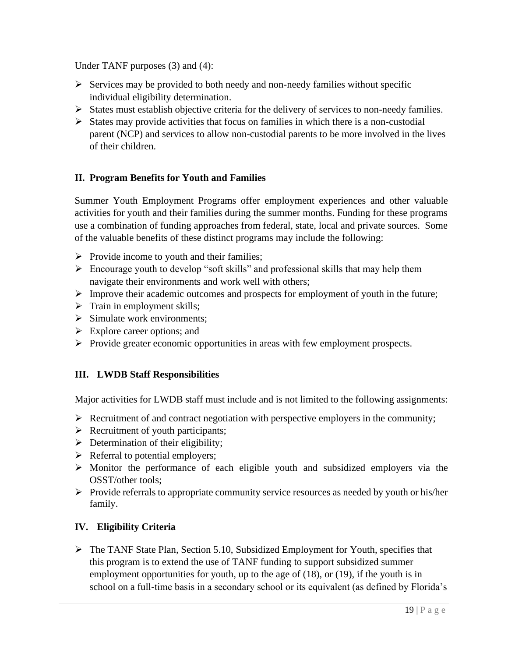Under TANF purposes (3) and (4):

- $\triangleright$  Services may be provided to both needy and non-needy families without specific individual eligibility determination.
- ➢ States must establish objective criteria for the delivery of services to non-needy families.
- $\triangleright$  States may provide activities that focus on families in which there is a non-custodial parent (NCP) and services to allow non-custodial parents to be more involved in the lives of their children.

# **II. Program Benefits for Youth and Families**

Summer Youth Employment Programs offer employment experiences and other valuable activities for youth and their families during the summer months. Funding for these programs use a combination of funding approaches from federal, state, local and private sources. Some of the valuable benefits of these distinct programs may include the following:

- $\triangleright$  Provide income to youth and their families;
- ➢ Encourage youth to develop "soft skills" and professional skills that may help them navigate their environments and work well with others;
- ➢ Improve their academic outcomes and prospects for employment of youth in the future;
- $\triangleright$  Train in employment skills;
- $\triangleright$  Simulate work environments:
- $\triangleright$  Explore career options; and
- ➢ Provide greater economic opportunities in areas with few employment prospects.

# **III. LWDB Staff Responsibilities**

Major activities for LWDB staff must include and is not limited to the following assignments:

- $\triangleright$  Recruitment of and contract negotiation with perspective employers in the community;
- $\triangleright$  Recruitment of youth participants;
- $\triangleright$  Determination of their eligibility;
- ➢ Referral to potential employers;
- ➢ Monitor the performance of each eligible youth and subsidized employers via the OSST/other tools;
- ➢ Provide referrals to appropriate community service resources as needed by youth or his/her family.

# **IV. Eligibility Criteria**

➢ The TANF State Plan, Section 5.10, Subsidized Employment for Youth, specifies that this program is to extend the use of TANF funding to support subsidized summer employment opportunities for youth, up to the age of (18), or (19), if the youth is in school on a full-time basis in a secondary school or its equivalent (as defined by Florida's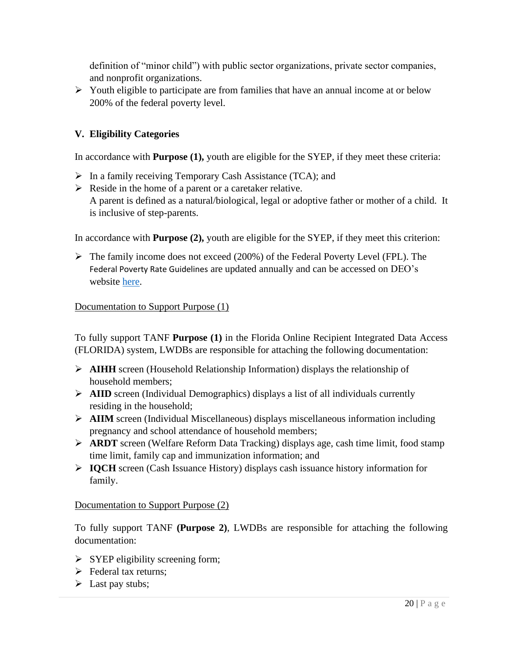definition of "minor child") with public sector organizations, private sector companies, and nonprofit organizations.

➢ Youth eligible to participate are from families that have an annual income at or below 200% of the federal poverty level.

# **V. Eligibility Categories**

In accordance with **Purpose (1),** youth are eligible for the SYEP, if they meet these criteria:

- ➢ In a family receiving Temporary Cash Assistance (TCA); and
- $\triangleright$  Reside in the home of a parent or a caretaker relative. A parent is defined as a natural/biological, legal or adoptive father or mother of a child. It is inclusive of step-parents.

In accordance with **Purpose (2),** youth are eligible for the SYEP, if they meet this criterion:

➢ The family income does not exceed (200%) of the Federal Poverty Level (FPL). The Federal Poverty Rate Guidelines are updated annually and can be accessed on DEO's website [here.](http://floridajobs.org/docs/default-source/lwdb-resources/policy-and-guidance/memos/2021-memoranda/memo_2021povertyguidelines.pdf?sfvrsn=1b364db0_2)

## Documentation to Support Purpose (1)

To fully support TANF **Purpose (1)** in the Florida Online Recipient Integrated Data Access (FLORIDA) system, LWDBs are responsible for attaching the following documentation:

- ➢ **AIHH** screen (Household Relationship Information) displays the relationship of household members;
- ➢ **AIID** screen (Individual Demographics) displays a list of all individuals currently residing in the household;
- ➢ **AIIM** screen (Individual Miscellaneous) displays miscellaneous information including pregnancy and school attendance of household members;
- ➢ **ARDT** screen (Welfare Reform Data Tracking) displays age, cash time limit, food stamp time limit, family cap and immunization information; and
- ➢ **IQCH** screen (Cash Issuance History) displays cash issuance history information for family.

## Documentation to Support Purpose (2)

To fully support TANF **(Purpose 2)**, LWDBs are responsible for attaching the following documentation:

- $\triangleright$  SYEP eligibility screening form;
- ➢ Federal tax returns;
- $\triangleright$  Last pay stubs;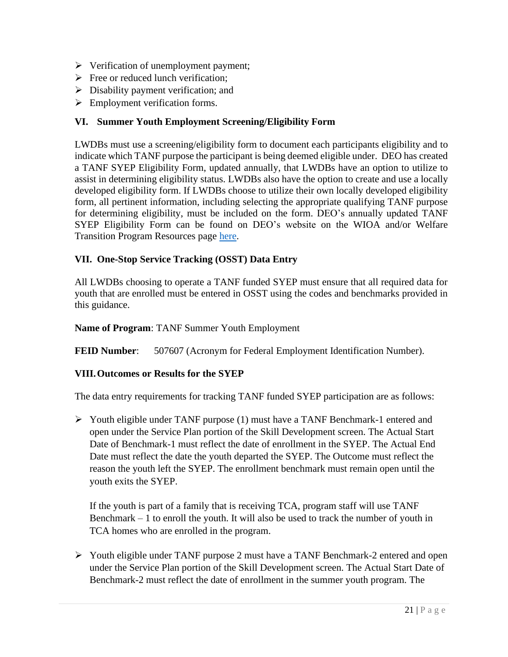- ➢ Verification of unemployment payment;
- $\triangleright$  Free or reduced lunch verification;
- $\triangleright$  Disability payment verification; and
- ➢ Employment verification forms.

## **VI. Summer Youth Employment Screening/Eligibility Form**

LWDBs must use a screening/eligibility form to document each participants eligibility and to indicate which TANF purpose the participant is being deemed eligible under. DEO has created a TANF SYEP Eligibility Form, updated annually, that LWDBs have an option to utilize to assist in determining eligibility status. LWDBs also have the option to create and use a locally developed eligibility form. If LWDBs choose to utilize their own locally developed eligibility form, all pertinent information, including selecting the appropriate qualifying TANF purpose for determining eligibility, must be included on the form. DEO's annually updated TANF SYEP Eligibility Form can be found on DEO's website on the WIOA and/or Welfare Transition Program Resources page [here.](http://floridajobs.org/docs/default-source/lwdb-resources/programs-and-resources/wioa/2021-wioa/tanf-syep-2021-eligibility-form.pdf?sfvrsn=26444db0_2)

# **VII. One-Stop Service Tracking (OSST) Data Entry**

All LWDBs choosing to operate a TANF funded SYEP must ensure that all required data for youth that are enrolled must be entered in OSST using the codes and benchmarks provided in this guidance.

**Name of Program**: TANF Summer Youth Employment

**FEID Number:** 507607 (Acronym for Federal Employment Identification Number).

## **VIII.Outcomes or Results for the SYEP**

The data entry requirements for tracking TANF funded SYEP participation are as follows:

➢ Youth eligible under TANF purpose (1) must have a TANF Benchmark-1 entered and open under the Service Plan portion of the Skill Development screen. The Actual Start Date of Benchmark-1 must reflect the date of enrollment in the SYEP. The Actual End Date must reflect the date the youth departed the SYEP. The Outcome must reflect the reason the youth left the SYEP. The enrollment benchmark must remain open until the youth exits the SYEP.

If the youth is part of a family that is receiving TCA, program staff will use TANF Benchmark – 1 to enroll the youth. It will also be used to track the number of youth in TCA homes who are enrolled in the program.

➢ Youth eligible under TANF purpose 2 must have a TANF Benchmark-2 entered and open under the Service Plan portion of the Skill Development screen. The Actual Start Date of Benchmark-2 must reflect the date of enrollment in the summer youth program. The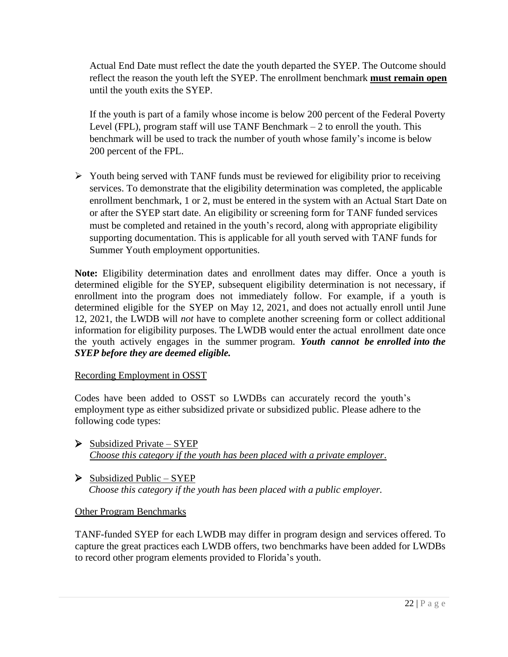Actual End Date must reflect the date the youth departed the SYEP. The Outcome should reflect the reason the youth left the SYEP. The enrollment benchmark **must remain open** until the youth exits the SYEP.

If the youth is part of a family whose income is below 200 percent of the Federal Poverty Level (FPL), program staff will use TANF Benchmark  $-2$  to enroll the youth. This benchmark will be used to track the number of youth whose family's income is below 200 percent of the FPL.

➢ Youth being served with TANF funds must be reviewed for eligibility prior to receiving services. To demonstrate that the eligibility determination was completed, the applicable enrollment benchmark, 1 or 2, must be entered in the system with an Actual Start Date on or after the SYEP start date. An eligibility or screening form for TANF funded services must be completed and retained in the youth's record, along with appropriate eligibility supporting documentation. This is applicable for all youth served with TANF funds for Summer Youth employment opportunities.

**Note:** Eligibility determination dates and enrollment dates may differ. Once a youth is determined eligible for the SYEP, subsequent eligibility determination is not necessary, if enrollment into the program does not immediately follow. For example, if a youth is determined eligible for the SYEP on May 12, 2021, and does not actually enroll until June 12, 2021, the LWDB will *not* have to complete another screening form or collect additional information for eligibility purposes. The LWDB would enter the actual enrollment date once the youth actively engages in the summer program. *Youth cannot be enrolled into the SYEP before they are deemed eligible.*

## Recording Employment in OSST

Codes have been added to OSST so LWDBs can accurately record the youth's employment type as either subsidized private or subsidized public. Please adhere to the following code types:

- $\triangleright$  Subsidized Private SYEP *Choose this category if the youth has been placed with a private employer*.
- $\triangleright$  Subsidized Public SYEP  *Choose this category if the youth has been placed with a public employer.*

## Other Program Benchmarks

TANF-funded SYEP for each LWDB may differ in program design and services offered. To capture the great practices each LWDB offers, two benchmarks have been added for LWDBs to record other program elements provided to Florida's youth.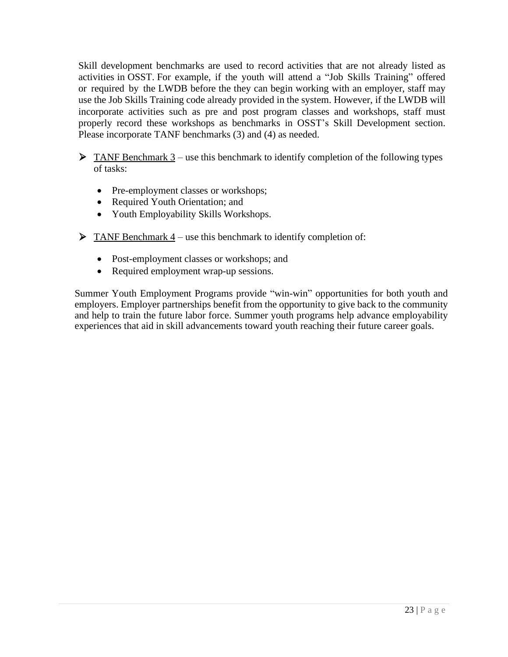Skill development benchmarks are used to record activities that are not already listed as activities in OSST. For example, if the youth will attend a "Job Skills Training" offered or required by the LWDB before the they can begin working with an employer, staff may use the Job Skills Training code already provided in the system. However, if the LWDB will incorporate activities such as pre and post program classes and workshops, staff must properly record these workshops as benchmarks in OSST's Skill Development section. Please incorporate TANF benchmarks (3) and (4) as needed.

 $\triangleright$  TANF Benchmark 3 – use this benchmark to identify completion of the following types of tasks:

- Pre-employment classes or workshops;
- Required Youth Orientation; and
- Youth Employability Skills Workshops.
- $\triangleright$  TANF Benchmark 4 use this benchmark to identify completion of:
	- Post-employment classes or workshops; and
	- Required employment wrap-up sessions.

Summer Youth Employment Programs provide "win-win" opportunities for both youth and employers. Employer partnerships benefit from the opportunity to give back to the community and help to train the future labor force. Summer youth programs help advance employability experiences that aid in skill advancements toward youth reaching their future career goals.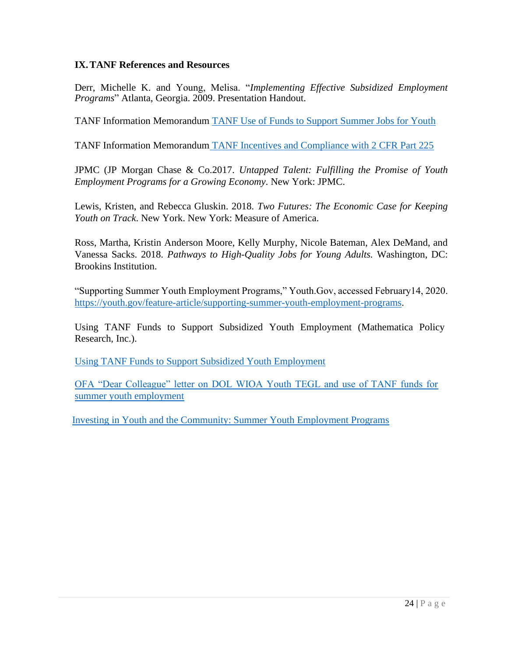#### **IX.TANF References and Resources**

Derr, Michelle K. and Young, Melisa. "*Implementing Effective Subsidized Employment Programs*" Atlanta, Georgia. 2009. Presentation Handout.

TANF Information Memorandu[m](http://www.acf.hhs.gov/programs/ofa/policy/im-) [TANF Use of Funds to Support Summer Jobs for Youth](https://www.acf.hhs.gov/ofa/resource/policy/im-ofa/2012/im201201/im201201)

TANF Information Memorandum TANF Incentives [and Compliance with 2 CFR Part 225](https://www.acf.hhs.gov/ofa/resource/policy/pi-ofa/2012/pi201202/pi201202)

JPMC (JP Morgan Chase & Co.2017. *Untapped Talent: Fulfilling the Promise of Youth Employment Programs for a Growing Economy*. New York: JPMC.

Lewis, Kristen, and Rebecca Gluskin. 2018. *Two Futures: The Economic Case for Keeping Youth on Track*. New York. New York: Measure of America.

Ross, Martha, Kristin Anderson Moore, Kelly Murphy, Nicole Bateman, Alex DeMand, and Vanessa Sacks. 2018. *Pathways to High-Quality Jobs for Young Adults.* Washington, DC: Brookins Institution.

"Supporting Summer Youth Employment Programs," Youth.Gov, accessed February14, 2020. [https://youth.gov/feature-article/supporting-summer-youth-employment-programs.](https://youth.gov/FEATURE-ARTICLE/SUPPORTING-SUMMER-YOUTH-EMPLOYMENT-PROGRAMS)

Using TANF Funds to Support Subsidized Youth Employment (Mathematica Policy Research, Inc.).

[Using TANF Funds to Support Subsidized Youth Employment](https://wdr.doleta.gov/research/FullText_Documents/ETAOP_2012_02.pdf)

[OFA "Dear Colleague" letter on DOL WIOA Youth TEGL and use of TANF funds for](https://www.acf.hhs.gov/ofa/resource/training-and-employment-guidance-letter-tegl)  [summer youth employment](https://www.acf.hhs.gov/ofa/resource/training-and-employment-guidance-letter-tegl)

[Investing in Youth and the Community: Summer Youth Employment Programs](https://peerta.acf.hhs.gov/content/investing-youth-and-community-summer-youth-employment-programs)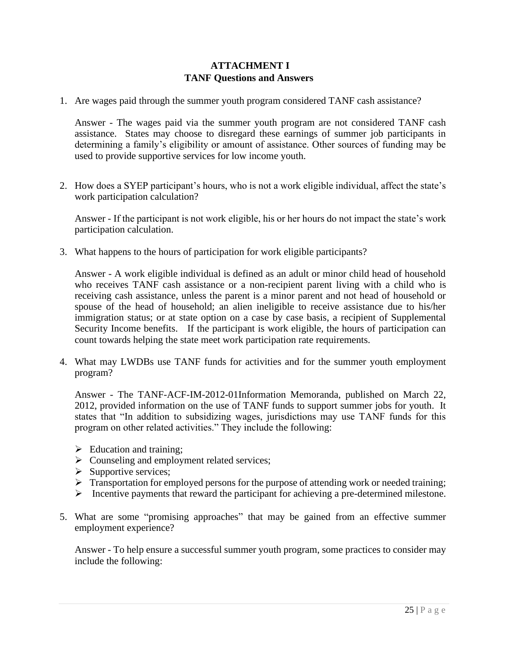#### **ATTACHMENT I TANF Questions and Answers**

1. Are wages paid through the summer youth program considered TANF cash assistance?

Answer - The wages paid via the summer youth program are not considered TANF cash assistance. States may choose to disregard these earnings of summer job participants in determining a family's eligibility or amount of assistance. Other sources of funding may be used to provide supportive services for low income youth.

2. How does a SYEP participant's hours, who is not a work eligible individual, affect the state's work participation calculation?

Answer - If the participant is not work eligible, his or her hours do not impact the state's work participation calculation.

3. What happens to the hours of participation for work eligible participants?

Answer - A work eligible individual is defined as an adult or minor child head of household who receives TANF cash assistance or a non-recipient parent living with a child who is receiving cash assistance, unless the parent is a minor parent and not head of household or spouse of the head of household; an alien ineligible to receive assistance due to his/her immigration status; or at state option on a case by case basis, a recipient of Supplemental Security Income benefits. If the participant is work eligible, the hours of participation can count towards helping the state meet work participation rate requirements.

4. What may LWDBs use TANF funds for activities and for the summer youth employment program?

Answer - The TANF-ACF-IM-2012-01Information Memoranda, published on March 22, 2012, provided information on the use of TANF funds to support summer jobs for youth. It states that "In addition to subsidizing wages, jurisdictions may use TANF funds for this program on other related activities." They include the following:

- $\triangleright$  Education and training;
- ➢ Counseling and employment related services;
- $\triangleright$  Supportive services;
- ➢ Transportation for employed persons for the purpose of attending work or needed training;
- ➢ Incentive payments that reward the participant for achieving a pre-determined milestone.
- 5. What are some "promising approaches" that may be gained from an effective summer employment experience?

Answer - To help ensure a successful summer youth program, some practices to consider may include the following: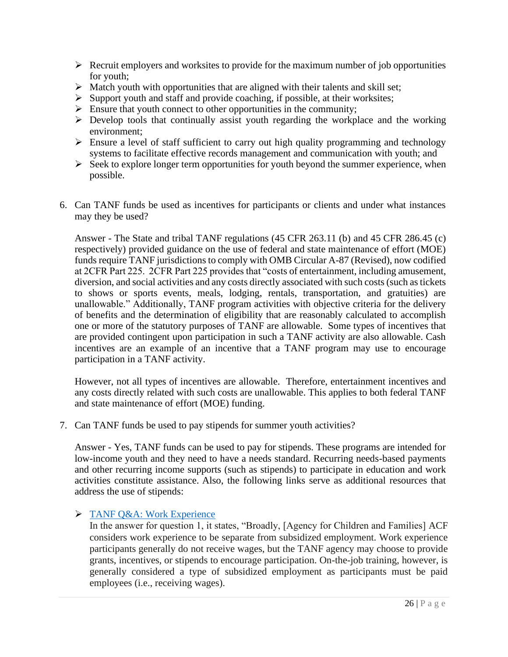- $\triangleright$  Recruit employers and worksites to provide for the maximum number of job opportunities for youth;
- $\triangleright$  Match youth with opportunities that are aligned with their talents and skill set;
- $\triangleright$  Support youth and staff and provide coaching, if possible, at their worksites;
- $\triangleright$  Ensure that youth connect to other opportunities in the community;
- $\triangleright$  Develop tools that continually assist youth regarding the workplace and the working environment;
- $\triangleright$  Ensure a level of staff sufficient to carry out high quality programming and technology systems to facilitate effective records management and communication with youth; and
- $\triangleright$  Seek to explore longer term opportunities for youth beyond the summer experience, when possible.
- 6. Can TANF funds be used as incentives for participants or clients and under what instances may they be used?

Answer - The State and tribal TANF regulations (45 CFR 263.11 (b) and 45 CFR 286.45 (c) respectively) provided guidance on the use of federal and state maintenance of effort (MOE) funds require TANF jurisdictions to comply with OMB Circular A-87 (Revised), now codified at 2CFR Part 225. 2CFR Part 225 provides that "costs of entertainment, including amusement, diversion, and social activities and any costs directly associated with such costs (such as tickets to shows or sports events, meals, lodging, rentals, transportation, and gratuities) are unallowable." Additionally, TANF program activities with objective criteria for the delivery of benefits and the determination of eligibility that are reasonably calculated to accomplish one or more of the statutory purposes of TANF are allowable. Some types of incentives that are provided contingent upon participation in such a TANF activity are also allowable. Cash incentives are an example of an incentive that a TANF program may use to encourage participation in a TANF activity.

However, not all types of incentives are allowable. Therefore, entertainment incentives and any costs directly related with such costs are unallowable. This applies to both federal TANF and state maintenance of effort (MOE) funding.

7. Can TANF funds be used to pay stipends for summer youth activities?

Answer - Yes, TANF funds can be used to pay for stipends. These programs are intended for low-income youth and they need to have a needs standard. Recurring needs-based payments and other recurring income supports (such as stipends) to participate in education and work activities constitute assistance. Also, the following links serve as additional resources that address the use of stipends:

## ➢ [TANF Q&A: Work Experience](https://www.acf.hhs.gov/ofa/resource/q-a-work-experience)

In the answer for question 1, it states, "Broadly, [Agency for Children and Families] ACF considers work experience to be separate from subsidized employment. Work experience participants generally do not receive wages, but the TANF agency may choose to provide grants, incentives, or stipends to encourage participation. On-the-job training, however, is generally considered a type of subsidized employment as participants must be paid employees (i.e., receiving wages).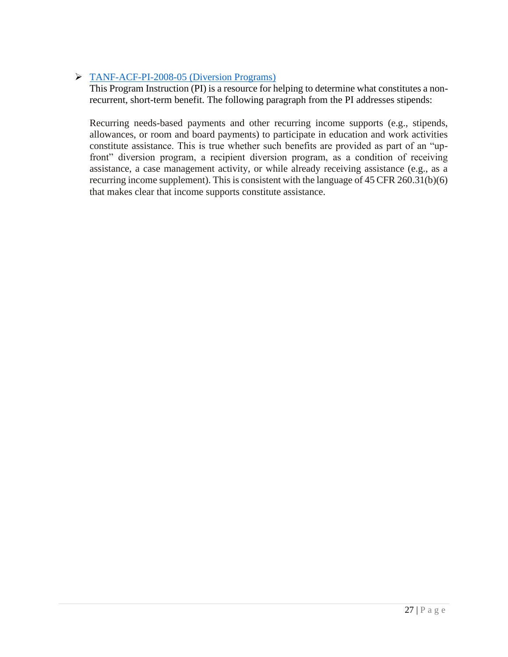# ➢ [TANF-ACF-PI-2008-05 \(Diversion Programs\)](https://www.acf.hhs.gov/ofa/resource/policy/pi-ofa/2008/200805/pi200805)

This Program Instruction (PI) is a resource for helping to determine what constitutes a nonrecurrent, short-term benefit. The following paragraph from the PI addresses stipends:

Recurring needs-based payments and other recurring income supports (e.g., stipends, allowances, or room and board payments) to participate in education and work activities constitute assistance. This is true whether such benefits are provided as part of an "upfront" diversion program, a recipient diversion program, as a condition of receiving assistance, a case management activity, or while already receiving assistance (e.g., as a recurring income supplement). This is consistent with the language of 45 CFR 260.31(b)(6) that makes clear that income supports constitute assistance.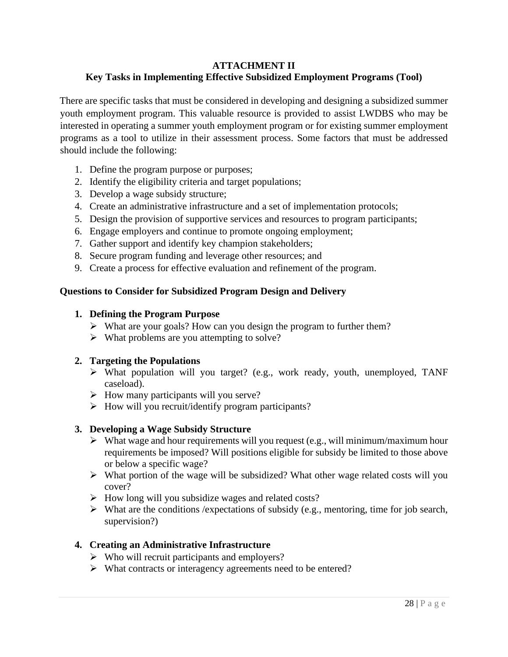#### **ATTACHMENT II Key Tasks in Implementing Effective Subsidized Employment Programs (Tool)**

There are specific tasks that must be considered in developing and designing a subsidized summer youth employment program. This valuable resource is provided to assist LWDBS who may be interested in operating a summer youth employment program or for existing summer employment programs as a tool to utilize in their assessment process. Some factors that must be addressed should include the following:

- 1. Define the program purpose or purposes;
- 2. Identify the eligibility criteria and target populations;
- 3. Develop a wage subsidy structure;
- 4. Create an administrative infrastructure and a set of implementation protocols;
- 5. Design the provision of supportive services and resources to program participants;
- 6. Engage employers and continue to promote ongoing employment;
- 7. Gather support and identify key champion stakeholders;
- 8. Secure program funding and leverage other resources; and
- 9. Create a process for effective evaluation and refinement of the program.

#### **Questions to Consider for Subsidized Program Design and Delivery**

#### **1. Defining the Program Purpose**

- ➢ What are your goals? How can you design the program to further them?
- $\triangleright$  What problems are you attempting to solve?

#### **2. Targeting the Populations**

- ➢ What population will you target? (e.g., work ready, youth, unemployed, TANF caseload).
- $\triangleright$  How many participants will you serve?
- ➢ How will you recruit/identify program participants?

#### **3. Developing a Wage Subsidy Structure**

- $\triangleright$  What wage and hour requirements will you request (e.g., will minimum/maximum hour requirements be imposed? Will positions eligible for subsidy be limited to those above or below a specific wage?
- ➢ What portion of the wage will be subsidized? What other wage related costs will you cover?
- ➢ How long will you subsidize wages and related costs?
- $\triangleright$  What are the conditions / expectations of subsidy (e.g., mentoring, time for job search, supervision?)

#### **4. Creating an Administrative Infrastructure**

- ➢ Who will recruit participants and employers?
- ➢ What contracts or interagency agreements need to be entered?